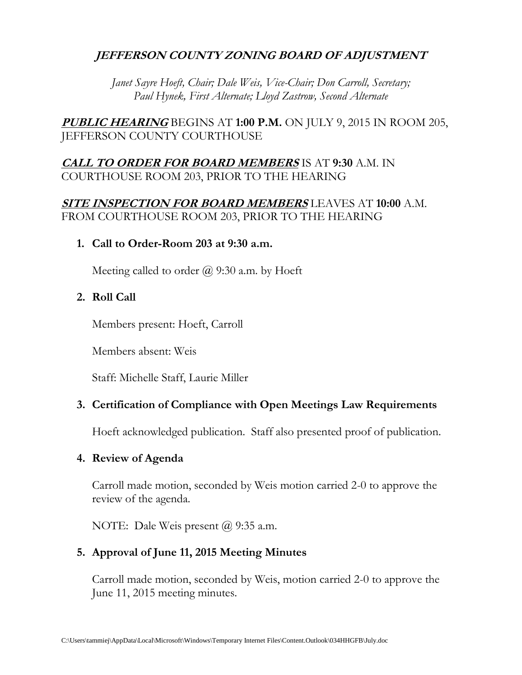## **JEFFERSON COUNTY ZONING BOARD OF ADJUSTMENT**

*Janet Sayre Hoeft, Chair; Dale Weis, Vice-Chair; Don Carroll, Secretary; Paul Hynek, First Alternate; Lloyd Zastrow, Second Alternate*

**PUBLIC HEARING** BEGINS AT **1:00 P.M.** ON JULY 9, 2015 IN ROOM 205, JEFFERSON COUNTY COURTHOUSE

## **CALL TO ORDER FOR BOARD MEMBERS** IS AT **9:30** A.M. IN COURTHOUSE ROOM 203, PRIOR TO THE HEARING

### **SITE INSPECTION FOR BOARD MEMBERS** LEAVES AT **10:00** A.M. FROM COURTHOUSE ROOM 203, PRIOR TO THE HEARING

**1. Call to Order-Room 203 at 9:30 a.m.**

Meeting called to order  $\omega$  9:30 a.m. by Hoeft

**2. Roll Call**

Members present: Hoeft, Carroll

Members absent: Weis

Staff: Michelle Staff, Laurie Miller

### **3. Certification of Compliance with Open Meetings Law Requirements**

Hoeft acknowledged publication. Staff also presented proof of publication.

#### **4. Review of Agenda**

Carroll made motion, seconded by Weis motion carried 2-0 to approve the review of the agenda.

NOTE: Dale Weis present @ 9:35 a.m.

### **5. Approval of June 11, 2015 Meeting Minutes**

Carroll made motion, seconded by Weis, motion carried 2-0 to approve the June 11, 2015 meeting minutes.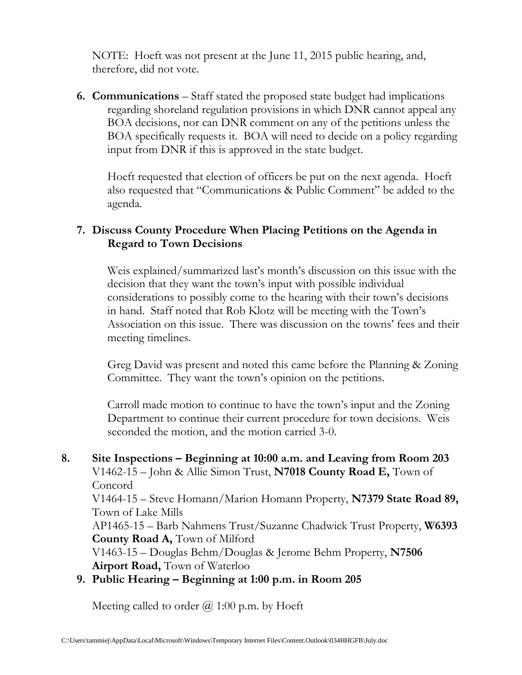NOTE: Hoeft was not present at the June 11, 2015 public hearing, and, therefore, did not vote.

**6. Communications** – Staff stated the proposed state budget had implications regarding shoreland regulation provisions in which DNR cannot appeal any BOA decisions, nor can DNR comment on any of the petitions unless the BOA specifically requests it. BOA will need to decide on a policy regarding input from DNR if this is approved in the state budget.

Hoeft requested that election of officers be put on the next agenda. Hoeft also requested that "Communications & Public Comment" be added to the agenda.

## **7. Discuss County Procedure When Placing Petitions on the Agenda in Regard to Town Decisions**

Weis explained/summarized last's month's discussion on this issue with the decision that they want the town's input with possible individual considerations to possibly come to the hearing with their town's decisions in hand. Staff noted that Rob Klotz will be meeting with the Town's Association on this issue. There was discussion on the towns' fees and their meeting timelines.

Greg David was present and noted this came before the Planning & Zoning Committee. They want the town's opinion on the petitions.

Carroll made motion to continue to have the town's input and the Zoning Department to continue their current procedure for town decisions. Weis seconded the motion, and the motion carried 3-0.

## **8. Site Inspections – Beginning at 10:00 a.m. and Leaving from Room 203** V1462-15 – John & Allie Simon Trust, **N7018 County Road E,** Town of Concord V1464-15 – Steve Homann/Marion Homann Property, **N7379 State Road 89,** Town of Lake Mills AP1465-15 – Barb Nahmens Trust/Suzanne Chadwick Trust Property, **W6393 County Road A,** Town of Milford V1463-15 – Douglas Behm/Douglas & Jerome Behm Property, **N7506 Airport Road,** Town of Waterloo

**9. Public Hearing – Beginning at 1:00 p.m. in Room 205**

Meeting called to order @ 1:00 p.m. by Hoeft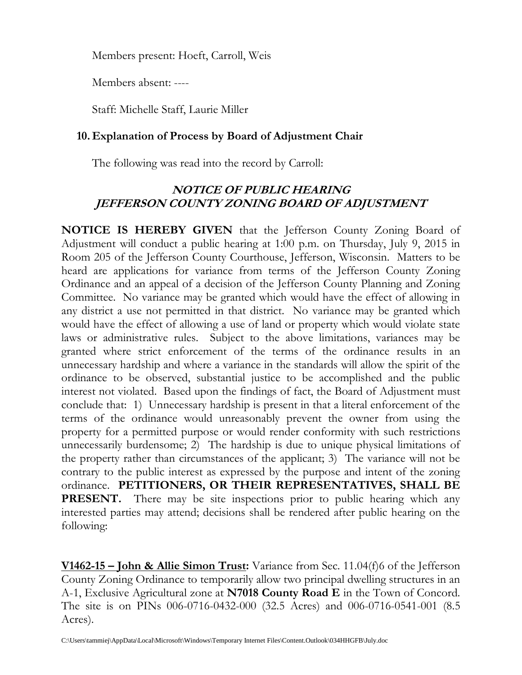Members present: Hoeft, Carroll, Weis

Members absent: ----

Staff: Michelle Staff, Laurie Miller

## **10. Explanation of Process by Board of Adjustment Chair**

The following was read into the record by Carroll:

# **NOTICE OF PUBLIC HEARING JEFFERSON COUNTY ZONING BOARD OF ADJUSTMENT**

**NOTICE IS HEREBY GIVEN** that the Jefferson County Zoning Board of Adjustment will conduct a public hearing at 1:00 p.m. on Thursday, July 9, 2015 in Room 205 of the Jefferson County Courthouse, Jefferson, Wisconsin. Matters to be heard are applications for variance from terms of the Jefferson County Zoning Ordinance and an appeal of a decision of the Jefferson County Planning and Zoning Committee. No variance may be granted which would have the effect of allowing in any district a use not permitted in that district. No variance may be granted which would have the effect of allowing a use of land or property which would violate state laws or administrative rules. Subject to the above limitations, variances may be granted where strict enforcement of the terms of the ordinance results in an unnecessary hardship and where a variance in the standards will allow the spirit of the ordinance to be observed, substantial justice to be accomplished and the public interest not violated. Based upon the findings of fact, the Board of Adjustment must conclude that: 1) Unnecessary hardship is present in that a literal enforcement of the terms of the ordinance would unreasonably prevent the owner from using the property for a permitted purpose or would render conformity with such restrictions unnecessarily burdensome; 2) The hardship is due to unique physical limitations of the property rather than circumstances of the applicant; 3) The variance will not be contrary to the public interest as expressed by the purpose and intent of the zoning ordinance. **PETITIONERS, OR THEIR REPRESENTATIVES, SHALL BE PRESENT.** There may be site inspections prior to public hearing which any interested parties may attend; decisions shall be rendered after public hearing on the following:

**V1462-15 – John & Allie Simon Trust:** Variance from Sec. 11.04(f)6 of the Jefferson County Zoning Ordinance to temporarily allow two principal dwelling structures in an A-1, Exclusive Agricultural zone at **N7018 County Road E** in the Town of Concord. The site is on PINs 006-0716-0432-000 (32.5 Acres) and 006-0716-0541-001 (8.5 Acres).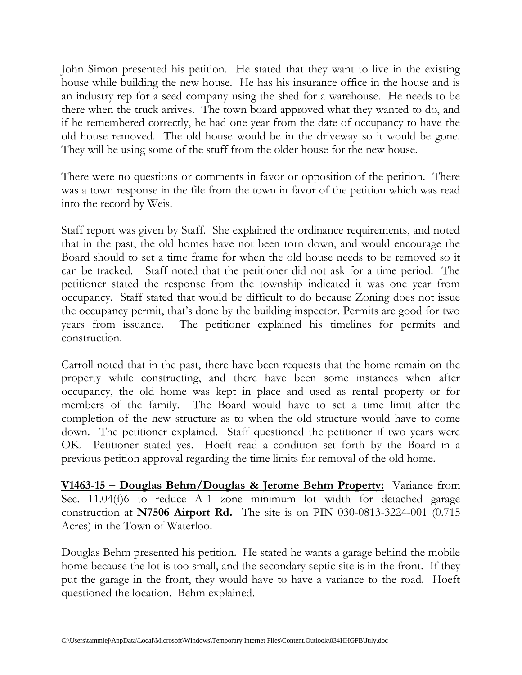John Simon presented his petition. He stated that they want to live in the existing house while building the new house. He has his insurance office in the house and is an industry rep for a seed company using the shed for a warehouse. He needs to be there when the truck arrives. The town board approved what they wanted to do, and if he remembered correctly, he had one year from the date of occupancy to have the old house removed. The old house would be in the driveway so it would be gone. They will be using some of the stuff from the older house for the new house.

There were no questions or comments in favor or opposition of the petition. There was a town response in the file from the town in favor of the petition which was read into the record by Weis.

Staff report was given by Staff. She explained the ordinance requirements, and noted that in the past, the old homes have not been torn down, and would encourage the Board should to set a time frame for when the old house needs to be removed so it can be tracked. Staff noted that the petitioner did not ask for a time period. The petitioner stated the response from the township indicated it was one year from occupancy. Staff stated that would be difficult to do because Zoning does not issue the occupancy permit, that's done by the building inspector. Permits are good for two years from issuance. The petitioner explained his timelines for permits and construction.

Carroll noted that in the past, there have been requests that the home remain on the property while constructing, and there have been some instances when after occupancy, the old home was kept in place and used as rental property or for members of the family. The Board would have to set a time limit after the completion of the new structure as to when the old structure would have to come down. The petitioner explained. Staff questioned the petitioner if two years were OK. Petitioner stated yes. Hoeft read a condition set forth by the Board in a previous petition approval regarding the time limits for removal of the old home.

**V1463-15 – Douglas Behm/Douglas & Jerome Behm Property:** Variance from Sec. 11.04(f)6 to reduce A-1 zone minimum lot width for detached garage construction at **N7506 Airport Rd.** The site is on PIN 030-0813-3224-001 (0.715 Acres) in the Town of Waterloo.

Douglas Behm presented his petition. He stated he wants a garage behind the mobile home because the lot is too small, and the secondary septic site is in the front. If they put the garage in the front, they would have to have a variance to the road. Hoeft questioned the location. Behm explained.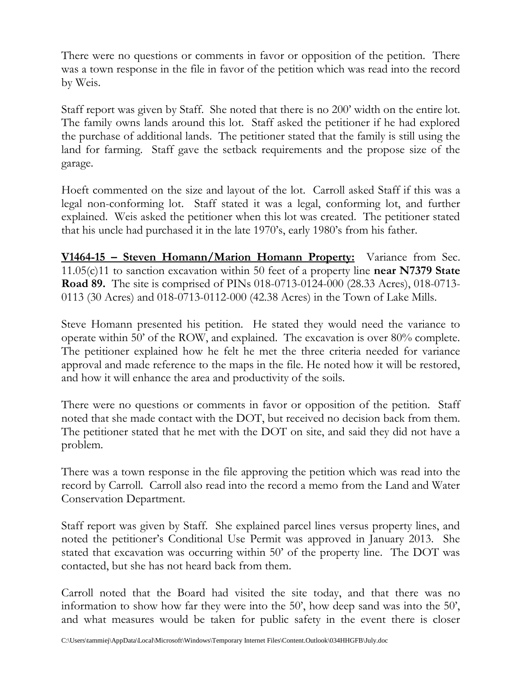There were no questions or comments in favor or opposition of the petition. There was a town response in the file in favor of the petition which was read into the record by Weis.

Staff report was given by Staff. She noted that there is no 200' width on the entire lot. The family owns lands around this lot. Staff asked the petitioner if he had explored the purchase of additional lands. The petitioner stated that the family is still using the land for farming. Staff gave the setback requirements and the propose size of the garage.

Hoeft commented on the size and layout of the lot. Carroll asked Staff if this was a legal non-conforming lot. Staff stated it was a legal, conforming lot, and further explained. Weis asked the petitioner when this lot was created. The petitioner stated that his uncle had purchased it in the late 1970's, early 1980's from his father.

**V1464-15 – Steven Homann/Marion Homann Property:** Variance from Sec. 11.05(c)11 to sanction excavation within 50 feet of a property line **near N7379 State Road 89.** The site is comprised of PINs 018-0713-0124-000 (28.33 Acres), 018-0713- 0113 (30 Acres) and 018-0713-0112-000 (42.38 Acres) in the Town of Lake Mills.

Steve Homann presented his petition. He stated they would need the variance to operate within 50' of the ROW, and explained. The excavation is over 80% complete. The petitioner explained how he felt he met the three criteria needed for variance approval and made reference to the maps in the file. He noted how it will be restored, and how it will enhance the area and productivity of the soils.

There were no questions or comments in favor or opposition of the petition. Staff noted that she made contact with the DOT, but received no decision back from them. The petitioner stated that he met with the DOT on site, and said they did not have a problem.

There was a town response in the file approving the petition which was read into the record by Carroll. Carroll also read into the record a memo from the Land and Water Conservation Department.

Staff report was given by Staff. She explained parcel lines versus property lines, and noted the petitioner's Conditional Use Permit was approved in January 2013. She stated that excavation was occurring within 50' of the property line. The DOT was contacted, but she has not heard back from them.

Carroll noted that the Board had visited the site today, and that there was no information to show how far they were into the 50', how deep sand was into the 50', and what measures would be taken for public safety in the event there is closer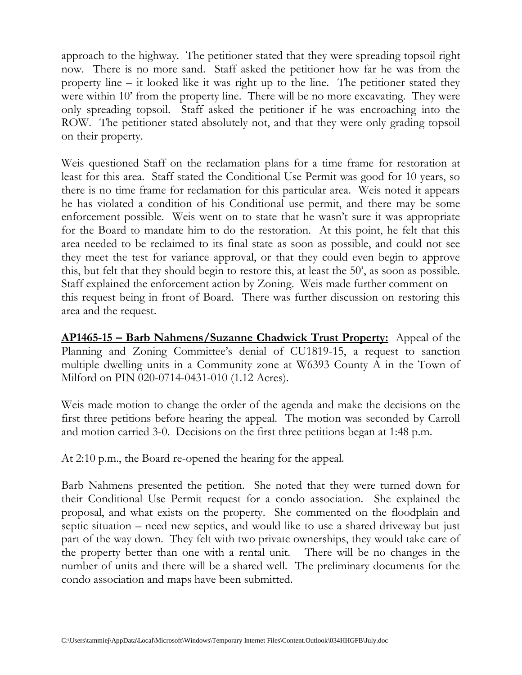approach to the highway. The petitioner stated that they were spreading topsoil right now. There is no more sand. Staff asked the petitioner how far he was from the property line – it looked like it was right up to the line. The petitioner stated they were within 10' from the property line. There will be no more excavating. They were only spreading topsoil. Staff asked the petitioner if he was encroaching into the ROW. The petitioner stated absolutely not, and that they were only grading topsoil on their property.

Weis questioned Staff on the reclamation plans for a time frame for restoration at least for this area. Staff stated the Conditional Use Permit was good for 10 years, so there is no time frame for reclamation for this particular area. Weis noted it appears he has violated a condition of his Conditional use permit, and there may be some enforcement possible. Weis went on to state that he wasn't sure it was appropriate for the Board to mandate him to do the restoration. At this point, he felt that this area needed to be reclaimed to its final state as soon as possible, and could not see they meet the test for variance approval, or that they could even begin to approve this, but felt that they should begin to restore this, at least the 50', as soon as possible. Staff explained the enforcement action by Zoning. Weis made further comment on this request being in front of Board. There was further discussion on restoring this area and the request.

**AP1465-15 – Barb Nahmens/Suzanne Chadwick Trust Property:** Appeal of the Planning and Zoning Committee's denial of CU1819-15, a request to sanction multiple dwelling units in a Community zone at W6393 County A in the Town of Milford on PIN 020-0714-0431-010 (1.12 Acres).

Weis made motion to change the order of the agenda and make the decisions on the first three petitions before hearing the appeal. The motion was seconded by Carroll and motion carried 3-0. Decisions on the first three petitions began at 1:48 p.m.

At 2:10 p.m., the Board re-opened the hearing for the appeal.

Barb Nahmens presented the petition. She noted that they were turned down for their Conditional Use Permit request for a condo association. She explained the proposal, and what exists on the property. She commented on the floodplain and septic situation – need new septics, and would like to use a shared driveway but just part of the way down. They felt with two private ownerships, they would take care of the property better than one with a rental unit. There will be no changes in the number of units and there will be a shared well. The preliminary documents for the condo association and maps have been submitted.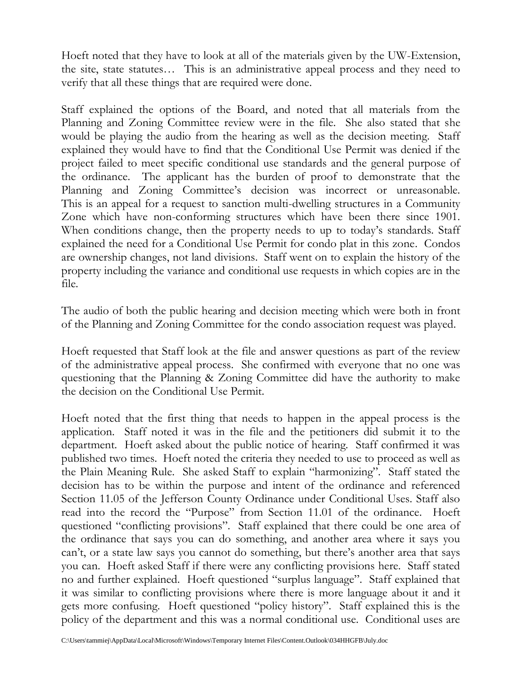Hoeft noted that they have to look at all of the materials given by the UW-Extension, the site, state statutes… This is an administrative appeal process and they need to verify that all these things that are required were done.

Staff explained the options of the Board, and noted that all materials from the Planning and Zoning Committee review were in the file. She also stated that she would be playing the audio from the hearing as well as the decision meeting. Staff explained they would have to find that the Conditional Use Permit was denied if the project failed to meet specific conditional use standards and the general purpose of the ordinance. The applicant has the burden of proof to demonstrate that the Planning and Zoning Committee's decision was incorrect or unreasonable. This is an appeal for a request to sanction multi-dwelling structures in a Community Zone which have non-conforming structures which have been there since 1901. When conditions change, then the property needs to up to today's standards. Staff explained the need for a Conditional Use Permit for condo plat in this zone. Condos are ownership changes, not land divisions. Staff went on to explain the history of the property including the variance and conditional use requests in which copies are in the file.

The audio of both the public hearing and decision meeting which were both in front of the Planning and Zoning Committee for the condo association request was played.

Hoeft requested that Staff look at the file and answer questions as part of the review of the administrative appeal process. She confirmed with everyone that no one was questioning that the Planning & Zoning Committee did have the authority to make the decision on the Conditional Use Permit.

Hoeft noted that the first thing that needs to happen in the appeal process is the application. Staff noted it was in the file and the petitioners did submit it to the department. Hoeft asked about the public notice of hearing. Staff confirmed it was published two times. Hoeft noted the criteria they needed to use to proceed as well as the Plain Meaning Rule. She asked Staff to explain "harmonizing". Staff stated the decision has to be within the purpose and intent of the ordinance and referenced Section 11.05 of the Jefferson County Ordinance under Conditional Uses. Staff also read into the record the "Purpose" from Section 11.01 of the ordinance. Hoeft questioned "conflicting provisions". Staff explained that there could be one area of the ordinance that says you can do something, and another area where it says you can't, or a state law says you cannot do something, but there's another area that says you can. Hoeft asked Staff if there were any conflicting provisions here. Staff stated no and further explained. Hoeft questioned "surplus language". Staff explained that it was similar to conflicting provisions where there is more language about it and it gets more confusing. Hoeft questioned "policy history". Staff explained this is the policy of the department and this was a normal conditional use. Conditional uses are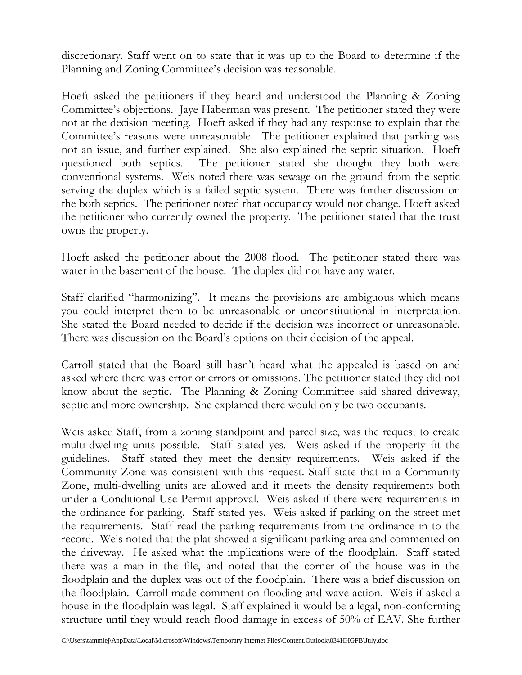discretionary. Staff went on to state that it was up to the Board to determine if the Planning and Zoning Committee's decision was reasonable.

Hoeft asked the petitioners if they heard and understood the Planning & Zoning Committee's objections. Jaye Haberman was present. The petitioner stated they were not at the decision meeting. Hoeft asked if they had any response to explain that the Committee's reasons were unreasonable. The petitioner explained that parking was not an issue, and further explained. She also explained the septic situation. Hoeft questioned both septics. The petitioner stated she thought they both were conventional systems. Weis noted there was sewage on the ground from the septic serving the duplex which is a failed septic system. There was further discussion on the both septics. The petitioner noted that occupancy would not change. Hoeft asked the petitioner who currently owned the property. The petitioner stated that the trust owns the property.

Hoeft asked the petitioner about the 2008 flood. The petitioner stated there was water in the basement of the house. The duplex did not have any water.

Staff clarified "harmonizing". It means the provisions are ambiguous which means you could interpret them to be unreasonable or unconstitutional in interpretation. She stated the Board needed to decide if the decision was incorrect or unreasonable. There was discussion on the Board's options on their decision of the appeal.

Carroll stated that the Board still hasn't heard what the appealed is based on and asked where there was error or errors or omissions. The petitioner stated they did not know about the septic. The Planning & Zoning Committee said shared driveway, septic and more ownership. She explained there would only be two occupants.

Weis asked Staff, from a zoning standpoint and parcel size, was the request to create multi-dwelling units possible. Staff stated yes. Weis asked if the property fit the guidelines. Staff stated they meet the density requirements. Weis asked if the Community Zone was consistent with this request. Staff state that in a Community Zone, multi-dwelling units are allowed and it meets the density requirements both under a Conditional Use Permit approval. Weis asked if there were requirements in the ordinance for parking. Staff stated yes. Weis asked if parking on the street met the requirements. Staff read the parking requirements from the ordinance in to the record. Weis noted that the plat showed a significant parking area and commented on the driveway. He asked what the implications were of the floodplain. Staff stated there was a map in the file, and noted that the corner of the house was in the floodplain and the duplex was out of the floodplain. There was a brief discussion on the floodplain. Carroll made comment on flooding and wave action. Weis if asked a house in the floodplain was legal. Staff explained it would be a legal, non-conforming structure until they would reach flood damage in excess of 50% of EAV. She further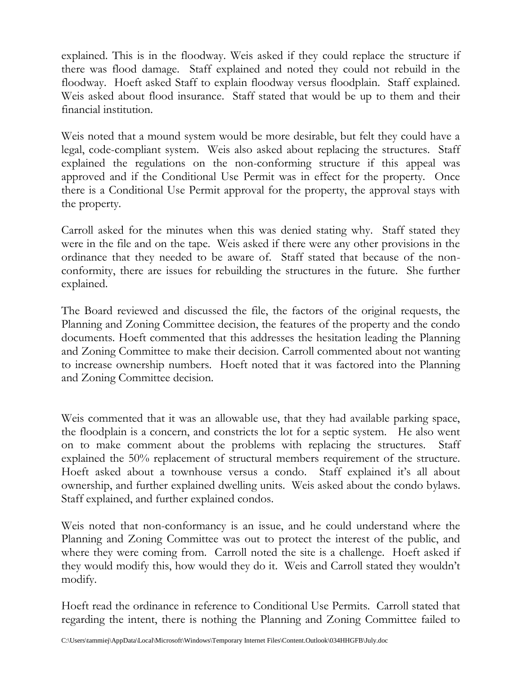explained. This is in the floodway. Weis asked if they could replace the structure if there was flood damage. Staff explained and noted they could not rebuild in the floodway. Hoeft asked Staff to explain floodway versus floodplain. Staff explained. Weis asked about flood insurance. Staff stated that would be up to them and their financial institution.

Weis noted that a mound system would be more desirable, but felt they could have a legal, code-compliant system. Weis also asked about replacing the structures. Staff explained the regulations on the non-conforming structure if this appeal was approved and if the Conditional Use Permit was in effect for the property. Once there is a Conditional Use Permit approval for the property, the approval stays with the property.

Carroll asked for the minutes when this was denied stating why. Staff stated they were in the file and on the tape. Weis asked if there were any other provisions in the ordinance that they needed to be aware of. Staff stated that because of the nonconformity, there are issues for rebuilding the structures in the future. She further explained.

The Board reviewed and discussed the file, the factors of the original requests, the Planning and Zoning Committee decision, the features of the property and the condo documents. Hoeft commented that this addresses the hesitation leading the Planning and Zoning Committee to make their decision. Carroll commented about not wanting to increase ownership numbers. Hoeft noted that it was factored into the Planning and Zoning Committee decision.

Weis commented that it was an allowable use, that they had available parking space, the floodplain is a concern, and constricts the lot for a septic system. He also went on to make comment about the problems with replacing the structures. Staff explained the 50% replacement of structural members requirement of the structure. Hoeft asked about a townhouse versus a condo. Staff explained it's all about ownership, and further explained dwelling units. Weis asked about the condo bylaws. Staff explained, and further explained condos.

Weis noted that non-conformancy is an issue, and he could understand where the Planning and Zoning Committee was out to protect the interest of the public, and where they were coming from. Carroll noted the site is a challenge. Hoeft asked if they would modify this, how would they do it. Weis and Carroll stated they wouldn't modify.

Hoeft read the ordinance in reference to Conditional Use Permits. Carroll stated that regarding the intent, there is nothing the Planning and Zoning Committee failed to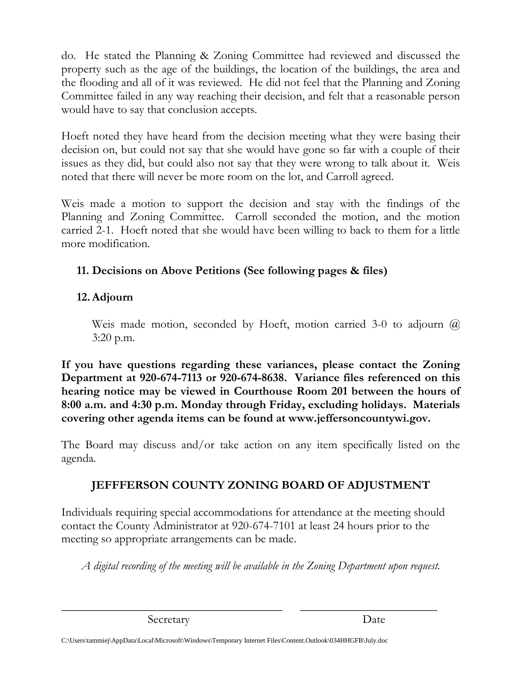do. He stated the Planning & Zoning Committee had reviewed and discussed the property such as the age of the buildings, the location of the buildings, the area and the flooding and all of it was reviewed. He did not feel that the Planning and Zoning Committee failed in any way reaching their decision, and felt that a reasonable person would have to say that conclusion accepts.

Hoeft noted they have heard from the decision meeting what they were basing their decision on, but could not say that she would have gone so far with a couple of their issues as they did, but could also not say that they were wrong to talk about it. Weis noted that there will never be more room on the lot, and Carroll agreed.

Weis made a motion to support the decision and stay with the findings of the Planning and Zoning Committee. Carroll seconded the motion, and the motion carried 2-1. Hoeft noted that she would have been willing to back to them for a little more modification.

# **11. Decisions on Above Petitions (See following pages & files)**

# **12.Adjourn**

Weis made motion, seconded by Hoeft, motion carried 3-0 to adjourn  $\omega$ 3:20 p.m.

**If you have questions regarding these variances, please contact the Zoning Department at 920-674-7113 or 920-674-8638. Variance files referenced on this hearing notice may be viewed in Courthouse Room 201 between the hours of 8:00 a.m. and 4:30 p.m. Monday through Friday, excluding holidays. Materials covering other agenda items can be found at www.jeffersoncountywi.gov.**

The Board may discuss and/or take action on any item specifically listed on the agenda.

# **JEFFFERSON COUNTY ZONING BOARD OF ADJUSTMENT**

Individuals requiring special accommodations for attendance at the meeting should contact the County Administrator at 920-674-7101 at least 24 hours prior to the meeting so appropriate arrangements can be made.

*A digital recording of the meeting will be available in the Zoning Department upon request.*

\_\_\_\_\_\_\_\_\_\_\_\_\_\_\_\_\_\_\_\_\_\_\_\_\_\_\_\_\_\_\_\_\_\_\_\_\_ \_\_\_\_\_\_\_\_\_\_\_\_\_\_\_\_\_\_\_\_\_\_\_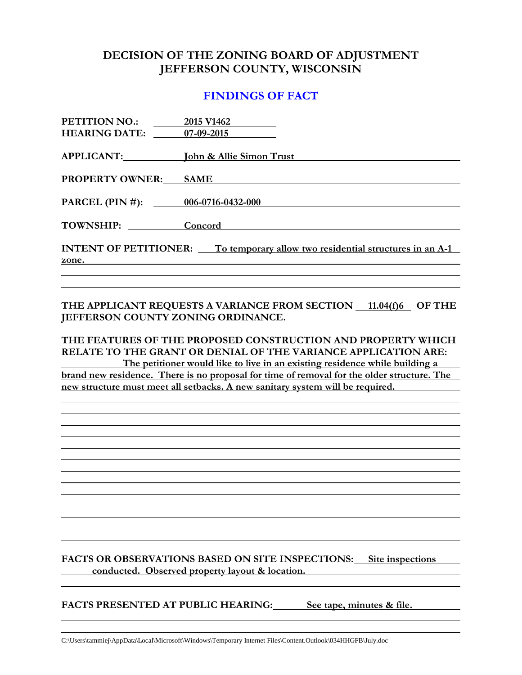### **DECISION OF THE ZONING BOARD OF ADJUSTMENT JEFFERSON COUNTY, WISCONSIN**

#### **FINDINGS OF FACT**

| 2015 V1462<br><b>HEARING DATE:</b> 07-09-2015                                        |
|--------------------------------------------------------------------------------------|
| APPLICANT: John & Allie Simon Trust                                                  |
| <b>SAME</b>                                                                          |
| PARCEL (PIN #): 006-0716-0432-000                                                    |
| TOWNSHIP: Concord                                                                    |
| <b>INTENT OF PETITIONER:</b> To temporary allow two residential structures in an A-1 |
|                                                                                      |

#### THE APPLICANT REQUESTS A VARIANCE FROM SECTION 11.04(f)6 OF THE **JEFFERSON COUNTY ZONING ORDINANCE.**

**THE FEATURES OF THE PROPOSED CONSTRUCTION AND PROPERTY WHICH RELATE TO THE GRANT OR DENIAL OF THE VARIANCE APPLICATION ARE: The petitioner would like to live in an existing residence while building a brand new residence. There is no proposal for time of removal for the older structure. The new structure must meet all setbacks. A new sanitary system will be required.**

**FACTS OR OBSERVATIONS BASED ON SITE INSPECTIONS: Site inspections conducted. Observed property layout & location.**

**FACTS PRESENTED AT PUBLIC HEARING: See tape, minutes & file.**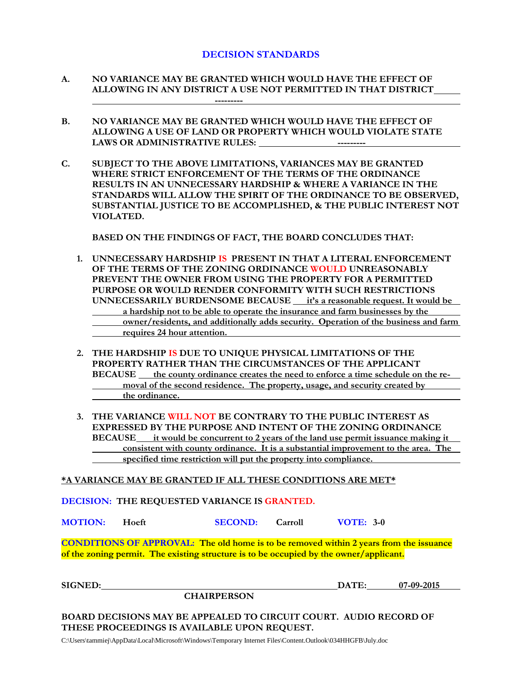#### **DECISION STANDARDS**

- **A. NO VARIANCE MAY BE GRANTED WHICH WOULD HAVE THE EFFECT OF ALLOWING IN ANY DISTRICT A USE NOT PERMITTED IN THAT DISTRICT ---------**
- **B. NO VARIANCE MAY BE GRANTED WHICH WOULD HAVE THE EFFECT OF ALLOWING A USE OF LAND OR PROPERTY WHICH WOULD VIOLATE STATE**  LAWS OR ADMINISTRATIVE RULES: **-----------** ----------
- **C. SUBJECT TO THE ABOVE LIMITATIONS, VARIANCES MAY BE GRANTED WHERE STRICT ENFORCEMENT OF THE TERMS OF THE ORDINANCE RESULTS IN AN UNNECESSARY HARDSHIP & WHERE A VARIANCE IN THE STANDARDS WILL ALLOW THE SPIRIT OF THE ORDINANCE TO BE OBSERVED, SUBSTANTIAL JUSTICE TO BE ACCOMPLISHED, & THE PUBLIC INTEREST NOT VIOLATED.**

**BASED ON THE FINDINGS OF FACT, THE BOARD CONCLUDES THAT:**

- **1. UNNECESSARY HARDSHIP IS PRESENT IN THAT A LITERAL ENFORCEMENT OF THE TERMS OF THE ZONING ORDINANCE WOULD UNREASONABLY PREVENT THE OWNER FROM USING THE PROPERTY FOR A PERMITTED PURPOSE OR WOULD RENDER CONFORMITY WITH SUCH RESTRICTIONS UNNECESSARILY BURDENSOME BECAUSE it's a reasonable request. It would be a hardship not to be able to operate the insurance and farm businesses by the owner/residents, and additionally adds security. Operation of the business and farm requires 24 hour attention.**
- **2. THE HARDSHIP IS DUE TO UNIQUE PHYSICAL LIMITATIONS OF THE PROPERTY RATHER THAN THE CIRCUMSTANCES OF THE APPLICANT BECAUSE** the county ordinance creates the need to enforce a time schedule on the re**moval of the second residence. The property, usage, and security created by the ordinance.**
- **3. THE VARIANCE WILL NOT BE CONTRARY TO THE PUBLIC INTEREST AS EXPRESSED BY THE PURPOSE AND INTENT OF THE ZONING ORDINANCE BECAUSE it would be concurrent to 2 years of the land use permit issuance making it consistent with county ordinance. It is a substantial improvement to the area. The specified time restriction will put the property into compliance.**

**\*A VARIANCE MAY BE GRANTED IF ALL THESE CONDITIONS ARE MET\***

**DECISION: THE REQUESTED VARIANCE IS GRANTED.**

**MOTION: Hoeft SECOND: Carroll VOTE: 3-0**

**CONDITIONS OF APPROVAL: The old home is to be removed within 2 years from the issuance of the zoning permit. The existing structure is to be occupied by the owner/applicant.**

**SIGNED: DATE: 07-09-2015**

**CHAIRPERSON**

**BOARD DECISIONS MAY BE APPEALED TO CIRCUIT COURT. AUDIO RECORD OF THESE PROCEEDINGS IS AVAILABLE UPON REQUEST.**

C:\Users\tammiej\AppData\Local\Microsoft\Windows\Temporary Internet Files\Content.Outlook\034HHGFB\July.doc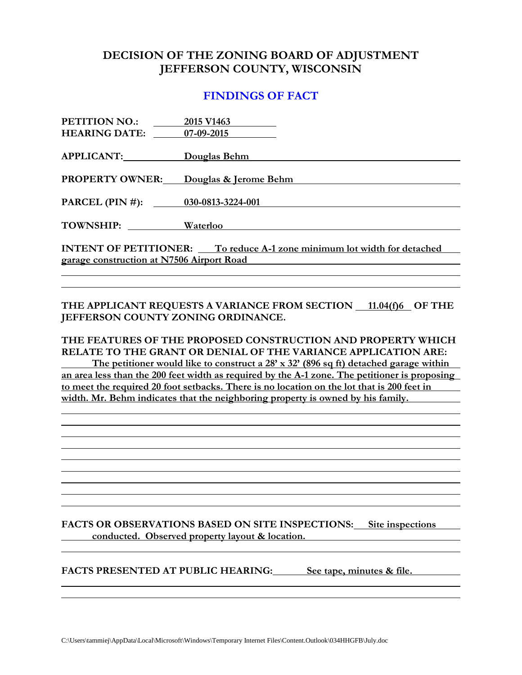### **DECISION OF THE ZONING BOARD OF ADJUSTMENT JEFFERSON COUNTY, WISCONSIN**

#### **FINDINGS OF FACT**

| 2015 V1463                                                                     |  |  |
|--------------------------------------------------------------------------------|--|--|
| 07-09-2015                                                                     |  |  |
| Douglas Behm                                                                   |  |  |
|                                                                                |  |  |
| Douglas & Jerome Behm                                                          |  |  |
| PARCEL (PIN #): 030-0813-3224-001                                              |  |  |
| Waterloo                                                                       |  |  |
| <b>INTENT OF PETITIONER:</b> To reduce A-1 zone minimum lot width for detached |  |  |
| garage construction at N7506 Airport Road                                      |  |  |
|                                                                                |  |  |

#### THE APPLICANT REQUESTS A VARIANCE FROM SECTION 11.04(f)6 OF THE **JEFFERSON COUNTY ZONING ORDINANCE.**

**THE FEATURES OF THE PROPOSED CONSTRUCTION AND PROPERTY WHICH RELATE TO THE GRANT OR DENIAL OF THE VARIANCE APPLICATION ARE: The petitioner would like to construct a 28' x 32' (896 sq ft) detached garage within an area less than the 200 feet width as required by the A-1 zone. The petitioner is proposing to meet the required 20 foot setbacks. There is no location on the lot that is 200 feet in width. Mr. Behm indicates that the neighboring property is owned by his family.** 

**FACTS OR OBSERVATIONS BASED ON SITE INSPECTIONS: Site inspections conducted. Observed property layout & location.**

**FACTS PRESENTED AT PUBLIC HEARING: See tape, minutes & file.**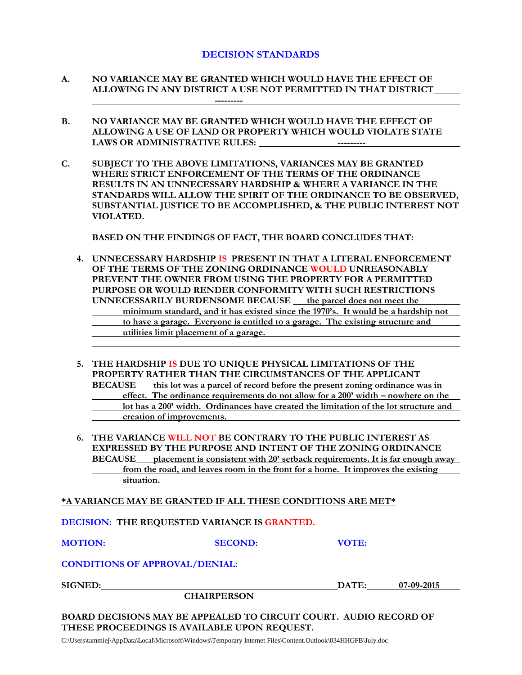#### **DECISION STANDARDS**

- **A. NO VARIANCE MAY BE GRANTED WHICH WOULD HAVE THE EFFECT OF ALLOWING IN ANY DISTRICT A USE NOT PERMITTED IN THAT DISTRICT ---------**
- **B. NO VARIANCE MAY BE GRANTED WHICH WOULD HAVE THE EFFECT OF ALLOWING A USE OF LAND OR PROPERTY WHICH WOULD VIOLATE STATE LAWS OR ADMINISTRATIVE RULES: ---------**
- **C. SUBJECT TO THE ABOVE LIMITATIONS, VARIANCES MAY BE GRANTED WHERE STRICT ENFORCEMENT OF THE TERMS OF THE ORDINANCE RESULTS IN AN UNNECESSARY HARDSHIP & WHERE A VARIANCE IN THE STANDARDS WILL ALLOW THE SPIRIT OF THE ORDINANCE TO BE OBSERVED, SUBSTANTIAL JUSTICE TO BE ACCOMPLISHED, & THE PUBLIC INTEREST NOT VIOLATED.**

**BASED ON THE FINDINGS OF FACT, THE BOARD CONCLUDES THAT:**

- **4. UNNECESSARY HARDSHIP IS PRESENT IN THAT A LITERAL ENFORCEMENT OF THE TERMS OF THE ZONING ORDINANCE WOULD UNREASONABLY PREVENT THE OWNER FROM USING THE PROPERTY FOR A PERMITTED PURPOSE OR WOULD RENDER CONFORMITY WITH SUCH RESTRICTIONS UNNECESSARILY BURDENSOME BECAUSE the parcel does not meet the minimum standard, and it has existed since the 1970's. It would be a hardship not to have a garage. Everyone is entitled to a garage. The existing structure and utilities limit placement of a garage.**
- **5. THE HARDSHIP IS DUE TO UNIQUE PHYSICAL LIMITATIONS OF THE PROPERTY RATHER THAN THE CIRCUMSTANCES OF THE APPLICANT BECAUSE this lot was a parcel of record before the present zoning ordinance was in effect. The ordinance requirements do not allow for a 200' width – nowhere on the lot has a 200' width. Ordinances have created the limitation of the lot structure and creation of improvements.**
- **6. THE VARIANCE WILL NOT BE CONTRARY TO THE PUBLIC INTEREST AS EXPRESSED BY THE PURPOSE AND INTENT OF THE ZONING ORDINANCE BECAUSE placement is consistent with 20' setback requirements. It is far enough away from the road, and leaves room in the front for a home. It improves the existing situation.**

**\*A VARIANCE MAY BE GRANTED IF ALL THESE CONDITIONS ARE MET\***

**DECISION: THE REQUESTED VARIANCE IS GRANTED.**

**MOTION: SECOND: VOTE:**

#### **CONDITIONS OF APPROVAL/DENIAL:**

**SIGNED: DATE: 07-09-2015**

**CHAIRPERSON**

**BOARD DECISIONS MAY BE APPEALED TO CIRCUIT COURT. AUDIO RECORD OF THESE PROCEEDINGS IS AVAILABLE UPON REQUEST.**

C:\Users\tammiej\AppData\Local\Microsoft\Windows\Temporary Internet Files\Content.Outlook\034HHGFB\July.doc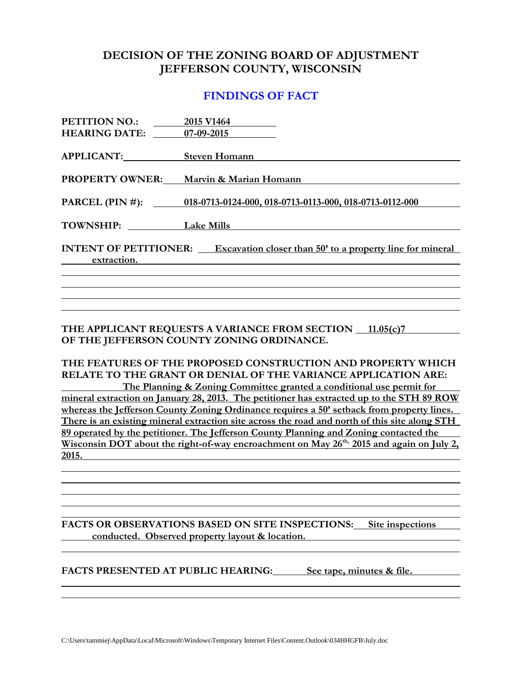### **DECISION OF THE ZONING BOARD OF ADJUSTMENT JEFFERSON COUNTY, WISCONSIN**

#### **FINDINGS OF FACT**

| PETITION NO.:          | 2015 V1464                                                                             |
|------------------------|----------------------------------------------------------------------------------------|
| <b>HEARING DATE:</b>   | 07-09-2015                                                                             |
| <b>APPLICANT:</b>      | <b>Steven Homann</b>                                                                   |
| <b>PROPERTY OWNER:</b> | Marvin & Marian Homann                                                                 |
|                        | PARCEL (PIN #): 018-0713-0124-000, 018-0713-0113-000, 018-0713-0112-000                |
| <b>TOWNSHIP:</b>       | <b>Lake Mills</b>                                                                      |
| extraction.            | <b>INTENT OF PETITIONER:</b> Excavation closer than 50' to a property line for mineral |
|                        |                                                                                        |
|                        |                                                                                        |
|                        |                                                                                        |
|                        |                                                                                        |

**THE APPLICANT REQUESTS A VARIANCE FROM SECTION 11.05(c)7 OF THE JEFFERSON COUNTY ZONING ORDINANCE.**

**THE FEATURES OF THE PROPOSED CONSTRUCTION AND PROPERTY WHICH RELATE TO THE GRANT OR DENIAL OF THE VARIANCE APPLICATION ARE: The Planning & Zoning Committee granted a conditional use permit for mineral extraction on January 28, 2013. The petitioner has extracted up to the STH 89 ROW** 

**whereas the Jefferson County Zoning Ordinance requires a 50' setback from property lines. There is an existing mineral extraction site across the road and north of this site along STH 89 operated by the petitioner. The Jefferson County Planning and Zoning contacted the Wisconsin DOT about the right-of-way encroachment on May 26th, 2015 and again on July 2, 2015.** 

**FACTS OR OBSERVATIONS BASED ON SITE INSPECTIONS: Site inspections conducted. Observed property layout & location.**

**FACTS PRESENTED AT PUBLIC HEARING: See tape, minutes & file.**